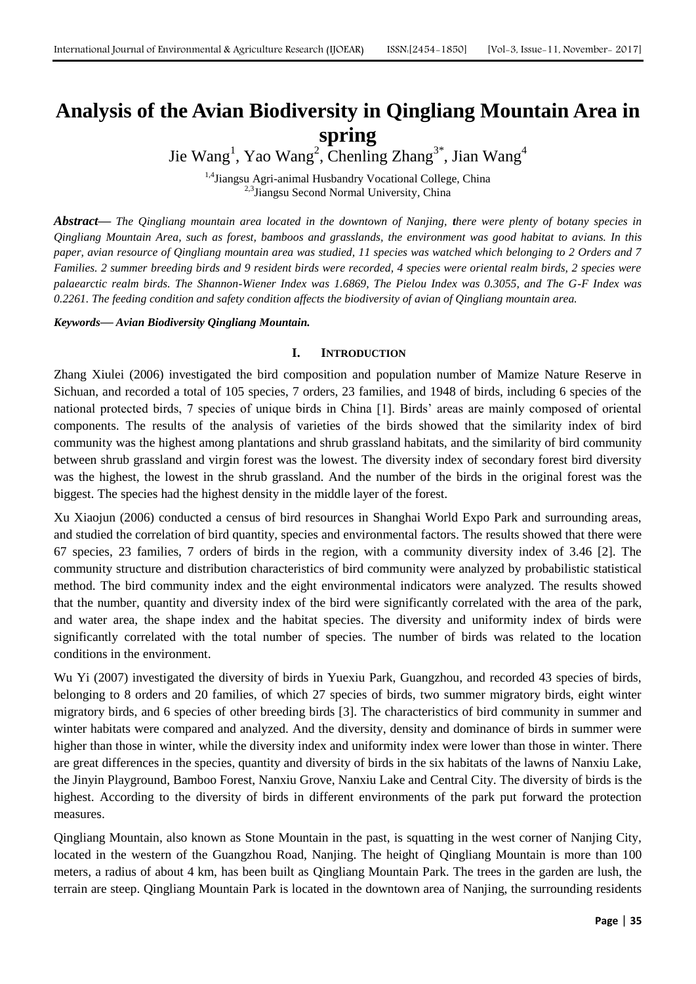# **Analysis of the Avian Biodiversity in Qingliang Mountain Area in spring**

Jie Wang<sup>1</sup>, Yao Wang<sup>2</sup>, Chenling Zhang<sup>3\*</sup>, Jian Wang<sup>4</sup>

<sup>1,4</sup>Jiangsu Agri-animal Husbandry Vocational College, China <sup>2,3</sup>Jiangsu Second Normal University, China

*Abstract***—** *The Qingliang mountain area located in the downtown of Nanjing, there were plenty of botany species in Qingliang Mountain Area, such as forest, bamboos and grasslands, the environment was good habitat to avians. In this paper, avian resource of Qingliang mountain area was studied, 11 species was watched which belonging to 2 Orders and 7 Families. 2 summer breeding birds and 9 resident birds were recorded, 4 species were oriental realm birds, 2 species were palaearctic realm birds. The Shannon-Wiener Index was 1.6869, The Pielou Index was 0.3055, and The G-F Index was 0.2261. The feeding condition and safety condition affects the biodiversity of avian of Qingliang mountain area.*

# *Keywords***—** *Avian Biodiversity Qingliang Mountain.*

# **I. INTRODUCTION**

Zhang Xiulei (2006) investigated the bird composition and population number of Mamize Nature Reserve in Sichuan, and recorded a total of 105 species, 7 orders, 23 families, and 1948 of birds, including 6 species of the national protected birds, 7 species of unique birds in China [1]. Birds' areas are mainly composed of oriental components. The results of the analysis of varieties of the birds showed that the similarity index of bird community was the highest among plantations and shrub grassland habitats, and the similarity of bird community between shrub grassland and virgin forest was the lowest. The diversity index of secondary forest bird diversity was the highest, the lowest in the shrub grassland. And the number of the birds in the original forest was the biggest. The species had the highest density in the middle layer of the forest.

Xu Xiaojun (2006) conducted a census of bird resources in Shanghai World Expo Park and surrounding areas, and studied the correlation of bird quantity, species and environmental factors. The results showed that there were 67 species, 23 families, 7 orders of birds in the region, with a community diversity index of 3.46 [2]. The community structure and distribution characteristics of bird community were analyzed by probabilistic statistical method. The bird community index and the eight environmental indicators were analyzed. The results showed that the number, quantity and diversity index of the bird were significantly correlated with the area of the park, and water area, the shape index and the habitat species. The diversity and uniformity index of birds were significantly correlated with the total number of species. The number of birds was related to the location conditions in the environment.

Wu Yi (2007) investigated the diversity of birds in Yuexiu Park, Guangzhou, and recorded 43 species of birds, belonging to 8 orders and 20 families, of which 27 species of birds, two summer migratory birds, eight winter migratory birds, and 6 species of other breeding birds [3]. The characteristics of bird community in summer and winter habitats were compared and analyzed. And the diversity, density and dominance of birds in summer were higher than those in winter, while the diversity index and uniformity index were lower than those in winter. There are great differences in the species, quantity and diversity of birds in the six habitats of the lawns of Nanxiu Lake, the Jinyin Playground, Bamboo Forest, Nanxiu Grove, Nanxiu Lake and Central City. The diversity of birds is the highest. According to the diversity of birds in different environments of the park put forward the protection measures.

Qingliang Mountain, also known as Stone Mountain in the past, is squatting in the west corner of Nanjing City, located in the western of the Guangzhou Road, Nanjing. The height of Qingliang Mountain is more than 100 meters, a radius of about 4 km, has been built as Qingliang Mountain Park. The trees in the garden are lush, the terrain are steep. Qingliang Mountain Park is located in the downtown area of Nanjing, the surrounding residents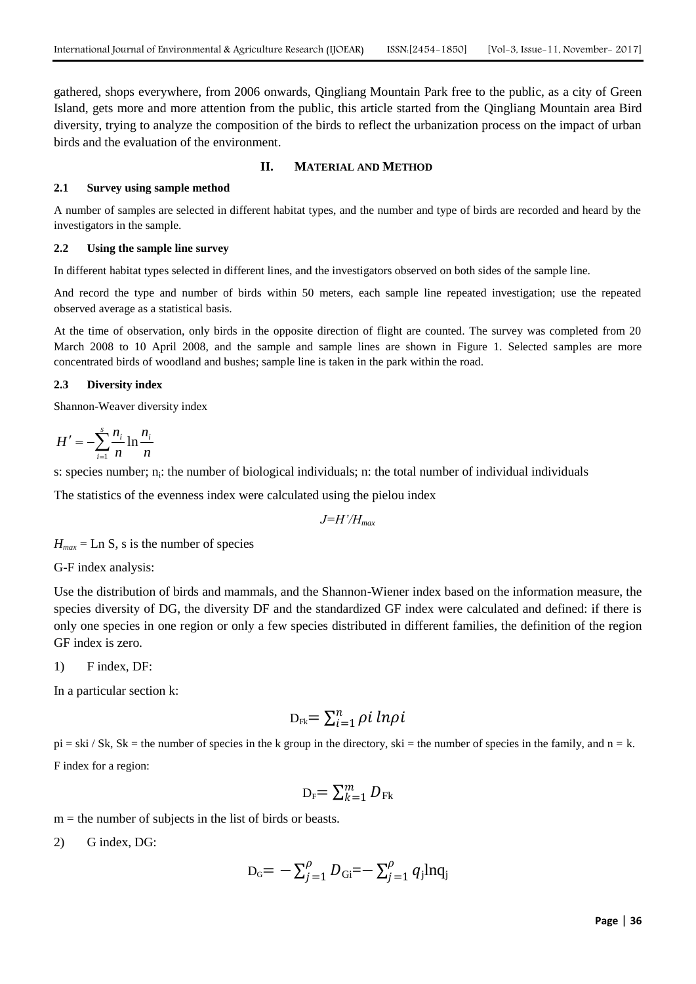gathered, shops everywhere, from 2006 onwards, Qingliang Mountain Park free to the public, as a city of Green Island, gets more and more attention from the public, this article started from the Qingliang Mountain area Bird diversity, trying to analyze the composition of the birds to reflect the urbanization process on the impact of urban birds and the evaluation of the environment.

# **II. MATERIAL AND METHOD**

# **2.1 Survey using sample method**

A number of samples are selected in different habitat types, and the number and type of birds are recorded and heard by the investigators in the sample.

## **2.2 Using the sample line survey**

In different habitat types selected in different lines, and the investigators observed on both sides of the sample line.

And record the type and number of birds within 50 meters, each sample line repeated investigation; use the repeated observed average as a statistical basis.

At the time of observation, only birds in the opposite direction of flight are counted. The survey was completed from 20 March 2008 to 10 April 2008, and the sample and sample lines are shown in Figure 1. Selected samples are more concentrated birds of woodland and bushes; sample line is taken in the park within the road.

# **2.3 Diversity index**

Shannon-Weaver diversity index

$$
H' = -\sum_{i=1}^{s} \frac{n_i}{n} \ln \frac{n_i}{n}
$$

s: species number; n<sub>i</sub>: the number of biological individuals; n: the total number of individual individuals

The statistics of the evenness index were calculated using the pielou index

*J=H'/Hmax*

 $H_{max}$  = Ln S, s is the number of species

G-F index analysis:

Use the distribution of birds and mammals, and the Shannon-Wiener index based on the information measure, the species diversity of DG, the diversity DF and the standardized GF index were calculated and defined: if there is only one species in one region or only a few species distributed in different families, the definition of the region GF index is zero.

1) F index, DF:

In a particular section k:

$$
D_{Fk} = \sum_{i=1}^{n} \rho i \ ln \rho i
$$

 $pi =$ ski / Sk, Sk = the number of species in the k group in the directory, ski = the number of species in the family, and  $n = k$ . F index for a region:

$$
D_F = \sum_{k=1}^m D_{Fk}
$$

 $m =$  the number of subjects in the list of birds or beasts.

2) G index, DG:

$$
D_{\rm G} = -\sum_{j=1}^{\rho} D_{\rm Gi} = -\sum_{j=1}^{\rho} q_j \ln q_j
$$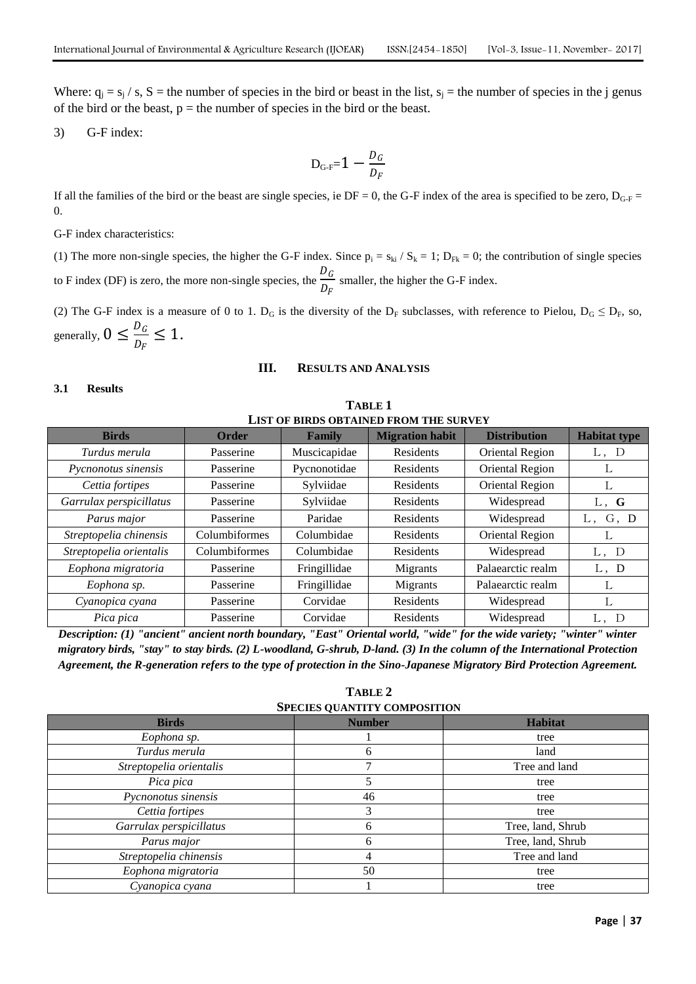Where:  $q_j = s_j / s$ , S = the number of species in the bird or beast in the list,  $s_j$  = the number of species in the j genus of the bird or the beast,  $p =$  the number of species in the bird or the beast.

3) G-F index:

$$
D_{\text{G-F}}=1-\frac{D_G}{D_F}
$$

If all the families of the bird or the beast are single species, ie  $DF = 0$ , the G-F index of the area is specified to be zero,  $D_{G-F}$  = 0.

G-F index characteristics:

(1) The more non-single species, the higher the G-F index. Since  $p_i = s_{ki} / S_k = 1$ ;  $D_{Fk} = 0$ ; the contribution of single species to F index (DF) is zero, the more non-single species, the  $\frac{D_G}{D_G}$  $\frac{a}{D_F}$  smaller, the higher the G-F index.

(2) The G-F index is a measure of 0 to 1.  $D_G$  is the diversity of the  $D_F$  subclasses, with reference to Pielou,  $D_G \le D_F$ , so, generally,  $0 \leq \frac{D_G}{D_G}$  $\frac{D_G}{D_F} \leq 1.$ 

# **III. RESULTS AND ANALYSIS**

**TABLE 1**

## **3.1 Results**

| LIST OF BIRDS OBTAINED FROM THE SURVEY |               |              |                        |                     |                     |  |
|----------------------------------------|---------------|--------------|------------------------|---------------------|---------------------|--|
| <b>Birds</b>                           | Order         | Family       | <b>Migration habit</b> | <b>Distribution</b> | <b>Habitat type</b> |  |
| Turdus merula                          | Passerine     | Muscicapidae | Residents              | Oriental Region     | L, D                |  |
| Pycnonotus sinensis                    | Passerine     | Pycnonotidae | Residents              | Oriental Region     | L                   |  |
| Cettia fortipes                        | Passerine     | Sylviidae    | Residents              | Oriental Region     | L                   |  |
| Garrulax perspicillatus                | Passerine     | Sylviidae    | Residents              | Widespread          | L, G                |  |
| Parus major                            | Passerine     | Paridae      | Residents              | Widespread          | G, D<br>L.          |  |
| Streptopelia chinensis                 | Columbiformes | Columbidae   | Residents              | Oriental Region     | ┶                   |  |
| Streptopelia orientalis                | Columbiformes | Columbidae   | Residents              | Widespread          | L, D                |  |
| Eophona migratoria                     | Passerine     | Fringillidae | Migrants               | Palaearctic realm   | L, D                |  |
| Eophona sp.                            | Passerine     | Fringillidae | Migrants               | Palaearctic realm   | L                   |  |
| Cyanopica cyana                        | Passerine     | Corvidae     | <b>Residents</b>       | Widespread          | L                   |  |
| Pica pica                              | Passerine     | Corvidae     | Residents              | Widespread          | L,<br>D             |  |

*Description: (1) "ancient" ancient north boundary, "East" Oriental world, "wide" for the wide variety; "winter" winter migratory birds, "stay" to stay birds. (2) L-woodland, G-shrub, D-land. (3) In the column of the International Protection Agreement, the R-generation refers to the type of protection in the Sino-Japanese Migratory Bird Protection Agreement.*

**TABLE 2 SPECIES QUANTITY COMPOSITION**

| DI BULDO OCARVITTI COMITODITION |               |                   |  |  |  |  |
|---------------------------------|---------------|-------------------|--|--|--|--|
| <b>Birds</b>                    | <b>Number</b> | <b>Habitat</b>    |  |  |  |  |
| Eophona sp.                     |               | tree              |  |  |  |  |
| Turdus merula                   | land<br>6     |                   |  |  |  |  |
| Streptopelia orientalis         | Tree and land |                   |  |  |  |  |
| Pica pica                       |               | tree              |  |  |  |  |
| Pycnonotus sinensis             | 46            | tree              |  |  |  |  |
| Cettia fortipes                 | 3             | tree              |  |  |  |  |
| Garrulax perspicillatus         | 6             | Tree, land, Shrub |  |  |  |  |
| Parus major                     | 6             | Tree, land, Shrub |  |  |  |  |
| Streptopelia chinensis          | 4             | Tree and land     |  |  |  |  |
| Eophona migratoria              | 50            | tree              |  |  |  |  |
| Cyanopica cyana                 |               | tree              |  |  |  |  |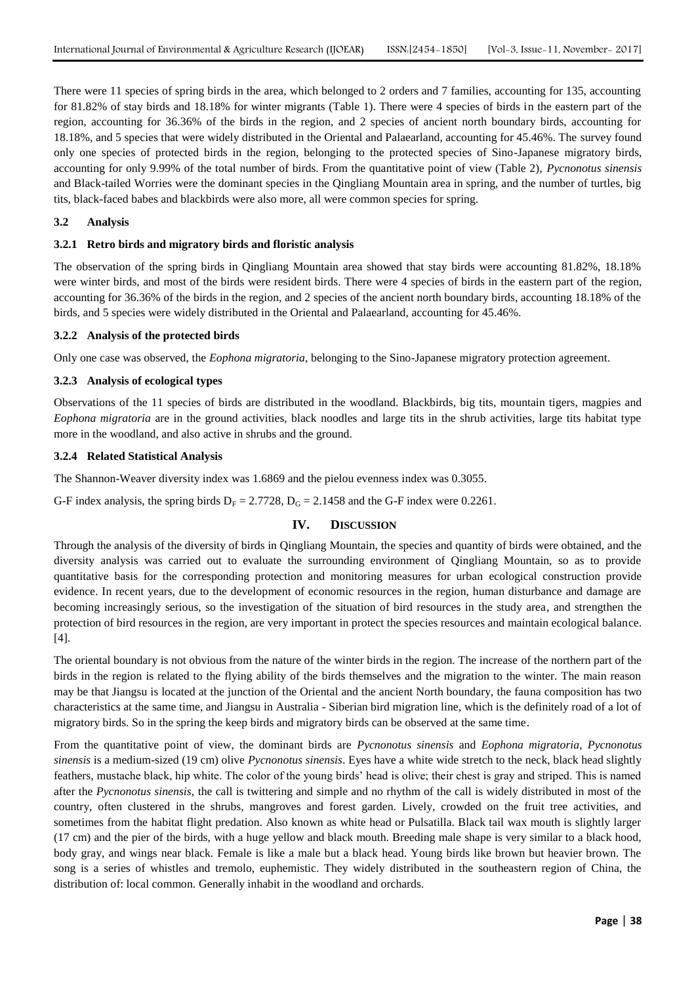There were 11 species of spring birds in the area, which belonged to 2 orders and 7 families, accounting for 135, accounting for 81.82% of stay birds and 18.18% for winter migrants (Table 1). There were 4 species of birds in the eastern part of the region, accounting for 36.36% of the birds in the region, and 2 species of ancient north boundary birds, accounting for 18.18%, and 5 species that were widely distributed in the Oriental and Palaearland, accounting for 45.46%. The survey found only one species of protected birds in the region, belonging to the protected species of Sino-Japanese migratory birds, accounting for only 9.99% of the total number of birds. From the quantitative point of view (Table 2), *Pycnonotus sinensis* and Black-tailed Worries were the dominant species in the Qingliang Mountain area in spring, and the number of turtles, big tits, black-faced babes and blackbirds were also more, all were common species for spring.

## **3.2 Analysis**

#### **3.2.1 Retro birds and migratory birds and floristic analysis**

The observation of the spring birds in Qingliang Mountain area showed that stay birds were accounting 81.82%, 18.18% were winter birds, and most of the birds were resident birds. There were 4 species of birds in the eastern part of the region, accounting for 36.36% of the birds in the region, and 2 species of the ancient north boundary birds, accounting 18.18% of the birds, and 5 species were widely distributed in the Oriental and Palaearland, accounting for 45.46%.

#### **3.2.2 Analysis of the protected birds**

Only one case was observed, the *Eophona migratoria*, belonging to the Sino-Japanese migratory protection agreement.

### **3.2.3 Analysis of ecological types**

Observations of the 11 species of birds are distributed in the woodland. Blackbirds, big tits, mountain tigers, magpies and *Eophona migratoria* are in the ground activities, black noodles and large tits in the shrub activities, large tits habitat type more in the woodland, and also active in shrubs and the ground.

# **3.2.4 Related Statistical Analysis**

The Shannon-Weaver diversity index was 1.6869 and the pielou evenness index was 0.3055.

G-F index analysis, the spring birds  $D_F = 2.7728$ ,  $D_G = 2.1458$  and the G-F index were 0.2261.

## **IV. DISCUSSION**

Through the analysis of the diversity of birds in Qingliang Mountain, the species and quantity of birds were obtained, and the diversity analysis was carried out to evaluate the surrounding environment of Qingliang Mountain, so as to provide quantitative basis for the corresponding protection and monitoring measures for urban ecological construction provide evidence. In recent years, due to the development of economic resources in the region, human disturbance and damage are becoming increasingly serious, so the investigation of the situation of bird resources in the study area, and strengthen the protection of bird resources in the region, are very important in protect the species resources and maintain ecological balance. [4].

The oriental boundary is not obvious from the nature of the winter birds in the region. The increase of the northern part of the birds in the region is related to the flying ability of the birds themselves and the migration to the winter. The main reason may be that Jiangsu is located at the junction of the Oriental and the ancient North boundary, the fauna composition has two characteristics at the same time, and Jiangsu in Australia - Siberian bird migration line, which is the definitely road of a lot of migratory birds. So in the spring the keep birds and migratory birds can be observed at the same time.

From the quantitative point of view, the dominant birds are *Pycnonotus sinensis* and *Eophona migratoria*, *Pycnonotus sinensis* is a medium-sized (19 cm) olive *Pycnonotus sinensis*. Eyes have a white wide stretch to the neck, black head slightly feathers, mustache black, hip white. The color of the young birds' head is olive; their chest is gray and striped. This is named after the *Pycnonotus sinensis*, the call is twittering and simple and no rhythm of the call is widely distributed in most of the country, often clustered in the shrubs, mangroves and forest garden. Lively, crowded on the fruit tree activities, and sometimes from the habitat flight predation. Also known as white head or Pulsatilla. Black tail wax mouth is slightly larger (17 cm) and the pier of the birds, with a huge yellow and black mouth. Breeding male shape is very similar to a black hood, body gray, and wings near black. Female is like a male but a black head. Young birds like brown but heavier brown. The song is a series of whistles and tremolo, euphemistic. They widely distributed in the southeastern region of China, the distribution of: local common. Generally inhabit in the woodland and orchards.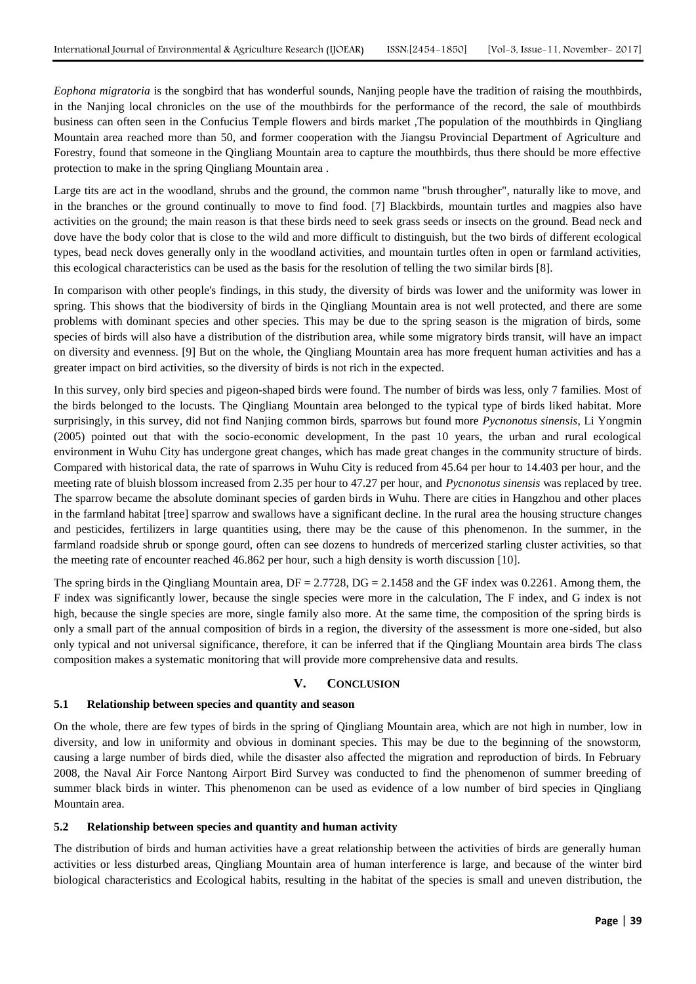*Eophona migratoria* is the songbird that has wonderful sounds, Nanjing people have the tradition of raising the mouthbirds, in the Nanjing local chronicles on the use of the mouthbirds for the performance of the record, the sale of mouthbirds business can often seen in the Confucius Temple flowers and birds market ,The population of the mouthbirds in Qingliang Mountain area reached more than 50, and former cooperation with the Jiangsu Provincial Department of Agriculture and Forestry, found that someone in the Qingliang Mountain area to capture the mouthbirds, thus there should be more effective protection to make in the spring Qingliang Mountain area .

Large tits are act in the woodland, shrubs and the ground, the common name "brush througher", naturally like to move, and in the branches or the ground continually to move to find food. [7] Blackbirds, mountain turtles and magpies also have activities on the ground; the main reason is that these birds need to seek grass seeds or insects on the ground. Bead neck and dove have the body color that is close to the wild and more difficult to distinguish, but the two birds of different ecological types, bead neck doves generally only in the woodland activities, and mountain turtles often in open or farmland activities, this ecological characteristics can be used as the basis for the resolution of telling the two similar birds [8].

In comparison with other people's findings, in this study, the diversity of birds was lower and the uniformity was lower in spring. This shows that the biodiversity of birds in the Qingliang Mountain area is not well protected, and there are some problems with dominant species and other species. This may be due to the spring season is the migration of birds, some species of birds will also have a distribution of the distribution area, while some migratory birds transit, will have an impact on diversity and evenness. [9] But on the whole, the Qingliang Mountain area has more frequent human activities and has a greater impact on bird activities, so the diversity of birds is not rich in the expected.

In this survey, only bird species and pigeon-shaped birds were found. The number of birds was less, only 7 families. Most of the birds belonged to the locusts. The Qingliang Mountain area belonged to the typical type of birds liked habitat. More surprisingly, in this survey, did not find Nanjing common birds, sparrows but found more *Pycnonotus sinensis*, Li Yongmin (2005) pointed out that with the socio-economic development, In the past 10 years, the urban and rural ecological environment in Wuhu City has undergone great changes, which has made great changes in the community structure of birds. Compared with historical data, the rate of sparrows in Wuhu City is reduced from 45.64 per hour to 14.403 per hour, and the meeting rate of bluish blossom increased from 2.35 per hour to 47.27 per hour, and *Pycnonotus sinensis* was replaced by tree. The sparrow became the absolute dominant species of garden birds in Wuhu. There are cities in Hangzhou and other places in the farmland habitat [tree] sparrow and swallows have a significant decline. In the rural area the housing structure changes and pesticides, fertilizers in large quantities using, there may be the cause of this phenomenon. In the summer, in the farmland roadside shrub or sponge gourd, often can see dozens to hundreds of mercerized starling cluster activities, so that the meeting rate of encounter reached 46.862 per hour, such a high density is worth discussion [10].

The spring birds in the Qingliang Mountain area,  $DF = 2.7728$ ,  $DG = 2.1458$  and the GF index was 0.2261. Among them, the F index was significantly lower, because the single species were more in the calculation, The F index, and G index is not high, because the single species are more, single family also more. At the same time, the composition of the spring birds is only a small part of the annual composition of birds in a region, the diversity of the assessment is more one-sided, but also only typical and not universal significance, therefore, it can be inferred that if the Qingliang Mountain area birds The class composition makes a systematic monitoring that will provide more comprehensive data and results.

# **V. CONCLUSION**

## **5.1 Relationship between species and quantity and season**

On the whole, there are few types of birds in the spring of Qingliang Mountain area, which are not high in number, low in diversity, and low in uniformity and obvious in dominant species. This may be due to the beginning of the snowstorm, causing a large number of birds died, while the disaster also affected the migration and reproduction of birds. In February 2008, the Naval Air Force Nantong Airport Bird Survey was conducted to find the phenomenon of summer breeding of summer black birds in winter. This phenomenon can be used as evidence of a low number of bird species in Qingliang Mountain area.

### **5.2 Relationship between species and quantity and human activity**

The distribution of birds and human activities have a great relationship between the activities of birds are generally human activities or less disturbed areas, Qingliang Mountain area of human interference is large, and because of the winter bird biological characteristics and Ecological habits, resulting in the habitat of the species is small and uneven distribution, the